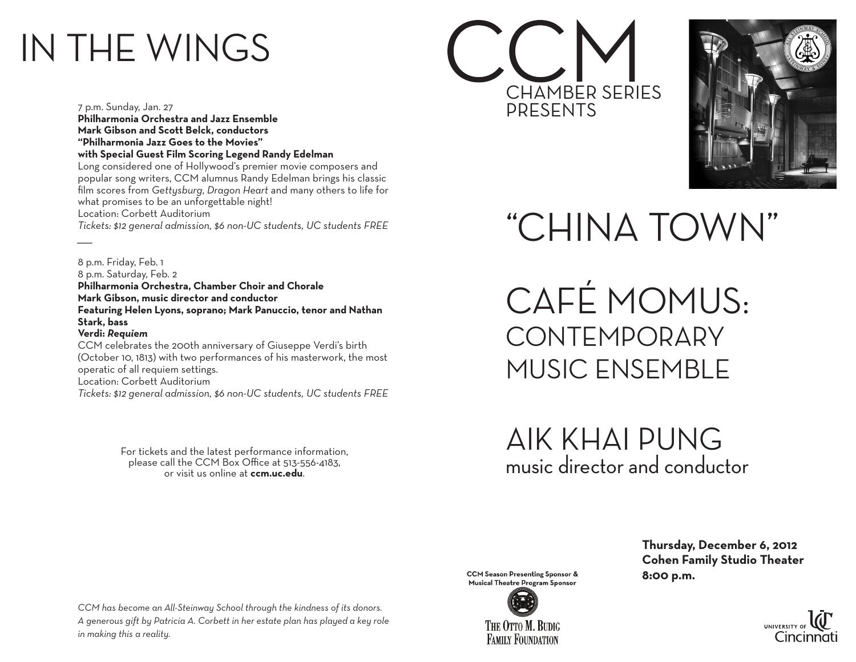## IN THE WINGS

7 p.m. Sunday, Jan. 27

*\_\_\_\_\_*

**Philharmonia Orchestra and Jazz Ensemble Mark Gibson and Scott Belck, conductors "Philharmonia Jazz Goes to the Movies" with Special Guest Film Scoring Legend Randy Edelman** Long considered one of Hollywood's premier movie composers and popular song writers, CCM alumnus Randy Edelman brings his classic film scores from *Gettysburg*, *Dragon Heart* and many others to life for what promises to be an unforgettable night! Location: Corbett Auditorium *Tickets: \$12 general admission, \$6 non-UC students, UC students FREE*

8 p.m. Friday, Feb. 1 8 p.m. Saturday, Feb. 2 **Philharmonia Orchestra, Chamber Choir and Chorale Mark Gibson, music director and conductor Featuring Helen Lyons, soprano; Mark Panuccio, tenor and Nathan Stark, bass Verdi:** *Requiem* CCM celebrates the 200th anniversary of Giuseppe Verdi's birth (October 10, 1813) with two performances of his masterwork, the most operatic of all requiem settings.

Location: Corbett Auditorium

*Tickets: \$12 general admission, \$6 non-UC students, UC students FREE*

For tickets and the latest performance information, please call the CCM Box Office at 513-556-4183, or visit us online at **ccm.uc.edu**.





"CHINA TOWN"

CAFÉ MOMUS: **CONTEMPORARY** MUSIC ENSEMBLE

AIK KHAI PUNG music director and conductor

*CCM has become an All-Steinway School through the kindness of its donors. A generous gift by Patricia A. Corbett in her estate plan has played a key role in making this a reality.*

**CCM** Season Presenting Sponsor & **8:00 p.m.**<br>
Musical Theatre Program Sponsor



 **Thursday, December 6, 2012 Cohen Family Studio Theater**